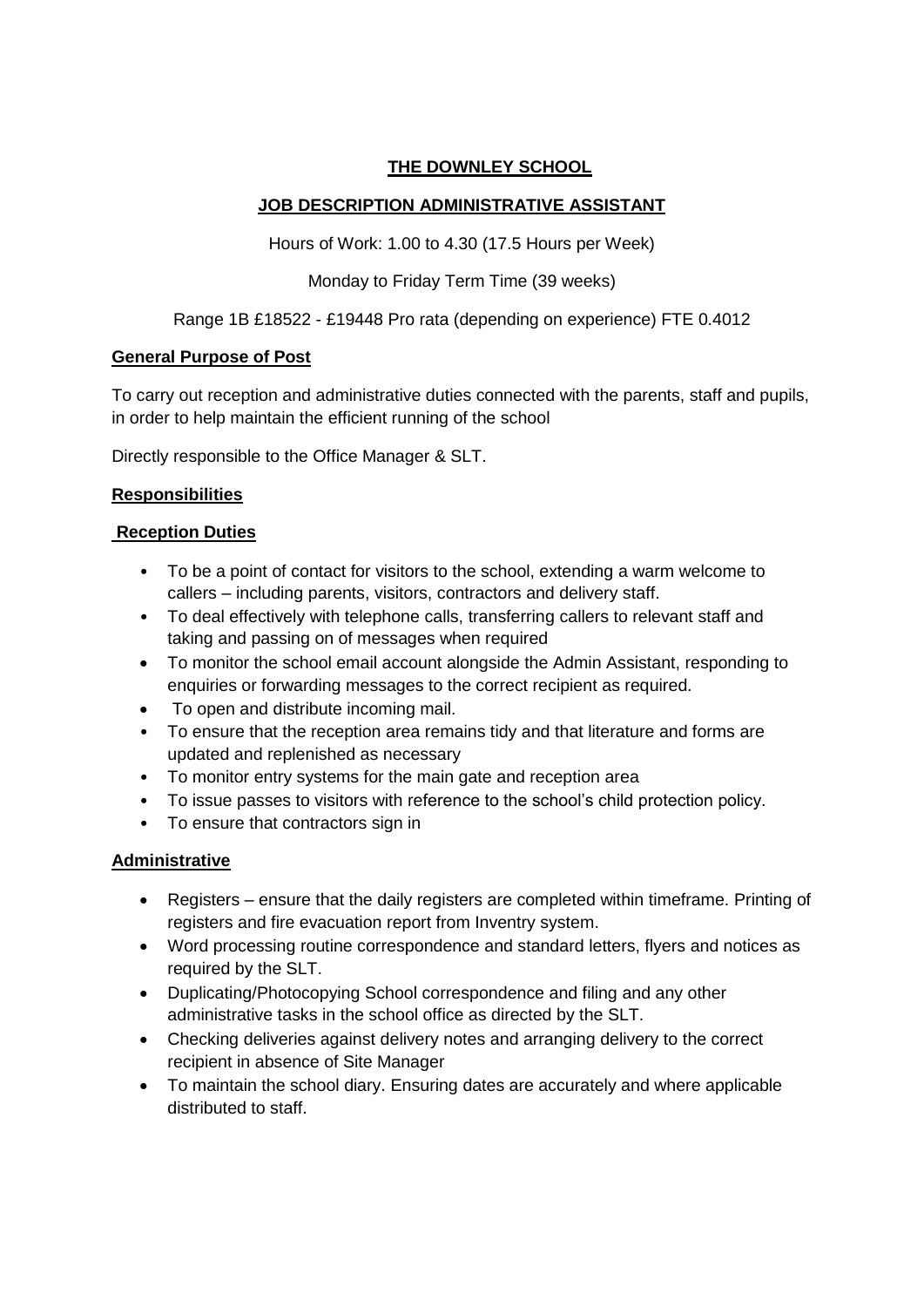### **THE DOWNLEY SCHOOL**

## **JOB DESCRIPTION ADMINISTRATIVE ASSISTANT**

Hours of Work: 1.00 to 4.30 (17.5 Hours per Week)

Monday to Friday Term Time (39 weeks)

### Range 1B £18522 - £19448 Pro rata (depending on experience) FTE 0.4012

### **General Purpose of Post**

To carry out reception and administrative duties connected with the parents, staff and pupils, in order to help maintain the efficient running of the school

Directly responsible to the Office Manager & SLT.

# **Responsibilities**

### **Reception Duties**

- To be a point of contact for visitors to the school, extending a warm welcome to callers – including parents, visitors, contractors and delivery staff.
- To deal effectively with telephone calls, transferring callers to relevant staff and taking and passing on of messages when required
- To monitor the school email account alongside the Admin Assistant, responding to enquiries or forwarding messages to the correct recipient as required.
- To open and distribute incoming mail.
- To ensure that the reception area remains tidy and that literature and forms are updated and replenished as necessary
- To monitor entry systems for the main gate and reception area
- To issue passes to visitors with reference to the school's child protection policy.
- To ensure that contractors sign in

#### **Administrative**

- Registers ensure that the daily registers are completed within timeframe. Printing of registers and fire evacuation report from Inventry system.
- Word processing routine correspondence and standard letters, flyers and notices as required by the SLT.
- Duplicating/Photocopying School correspondence and filing and any other administrative tasks in the school office as directed by the SLT.
- Checking deliveries against delivery notes and arranging delivery to the correct recipient in absence of Site Manager
- To maintain the school diary. Ensuring dates are accurately and where applicable distributed to staff.